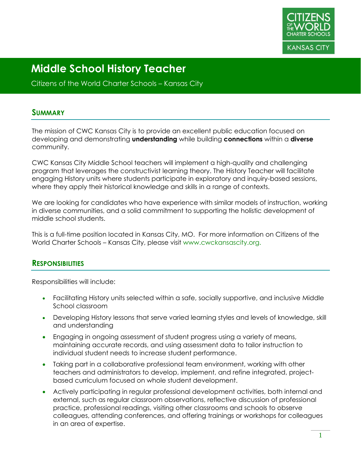

Citizens of the World Charter Schools – Kansas City

#### **SUMMARY**

The mission of CWC Kansas City is to provide an excellent public education focused on developing and demonstrating **understanding** while building **connections** within a **diverse** community.

CWC Kansas City Middle School teachers will implement a high-quality and challenging program that leverages the constructivist learning theory. The History Teacher will facilitate engaging History units where students participate in exploratory and inquiry-based sessions, where they apply their historical knowledge and skills in a range of contexts.

We are looking for candidates who have experience with similar models of instruction, working in diverse communities, and a solid commitment to supporting the holistic development of middle school students.

This is a full-time position located in Kansas City, MO. For more information on Citizens of the World Charter Schools – Kansas City, please visit www.cwckansascity.org.

#### **RESPONSIBILITIES**

Responsibilities will include:

- Facilitating History units selected within a safe, socially supportive, and inclusive Middle School classroom
- Developing History lessons that serve varied learning styles and levels of knowledge, skill and understanding
- Engaging in ongoing assessment of student progress using a variety of means, maintaining accurate records, and using assessment data to tailor instruction to individual student needs to increase student performance.
- Taking part in a collaborative professional team environment, working with other teachers and administrators to develop, implement, and refine integrated, projectbased curriculum focused on whole student development.
- Actively participating in regular professional development activities, both internal and external, such as regular classroom observations, reflective discussion of professional practice, professional readings, visiting other classrooms and schools to observe colleagues, attending conferences, and offering trainings or workshops for colleagues in an area of expertise.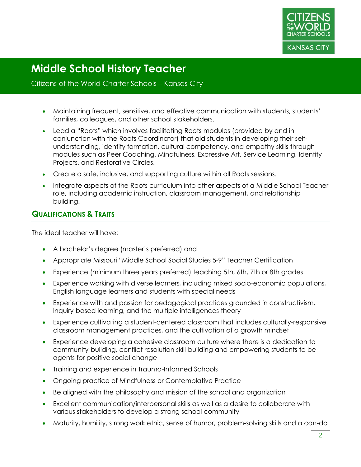

#### Citizens of the World Charter Schools – Kansas City

- Maintaining frequent, sensitive, and effective communication with students, students' families, colleagues, and other school stakeholders.
- Lead a "Roots" which involves facilitating Roots modules (provided by and in conjunction with the Roots Coordinator) that aid students in developing their selfunderstanding, identity formation, cultural competency, and empathy skills through modules such as Peer Coaching, Mindfulness, Expressive Art, Service Learning, Identity Projects, and Restorative Circles.
- Create a safe, inclusive, and supporting culture within all Roots sessions.
- Integrate aspects of the Roots curriculum into other aspects of a Middle School Teacher role, including academic instruction, classroom management, and relationship building.

## **QUALIFICATIONS & TRAITS**

The ideal teacher will have:

- A bachelor's degree (master's preferred) and
- Appropriate Missouri "Middle School Social Studies 5-9" Teacher Certification
- Experience (minimum three years preferred) teaching 5th, 6th, 7th or 8th grades
- Experience working with diverse learners, including mixed socio-economic populations, English language learners and students with special needs
- Experience with and passion for pedagogical practices grounded in constructivism, Inquiry-based learning, and the multiple intelligences theory
- Experience cultivating a student-centered classroom that includes culturally-responsive classroom management practices, and the cultivation of a growth mindset
- Experience developing a cohesive classroom culture where there is a dedication to community-building, conflict resolution skill-building and empowering students to be agents for positive social change
- Training and experience in Trauma-Informed Schools
- Ongoing practice of Mindfulness or Contemplative Practice
- Be aligned with the philosophy and mission of the school and organization
- Excellent communication/interpersonal skills as well as a desire to collaborate with various stakeholders to develop a strong school community
- Maturity, humility, strong work ethic, sense of humor, problem-solving skills and a can-do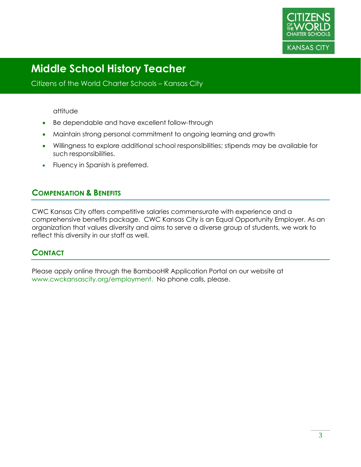

Citizens of the World Charter Schools – Kansas City

#### attitude

- Be dependable and have excellent follow-through
- Maintain strong personal commitment to ongoing learning and growth
- Willingness to explore additional school responsibilities; stipends may be available for such responsibilities.
- Fluency in Spanish is preferred.

## **COMPENSATION & BENEFITS**

CWC Kansas City offers competitive salaries commensurate with experience and a comprehensive benefits package. CWC Kansas City is an Equal Opportunity Employer. As an organization that values diversity and aims to serve a diverse group of students, we work to reflect this diversity in our staff as well.

## **CONTACT**

Please apply online through the BambooHR Application Portal on our website at www.cwckansascity.org/employment. No phone calls, please.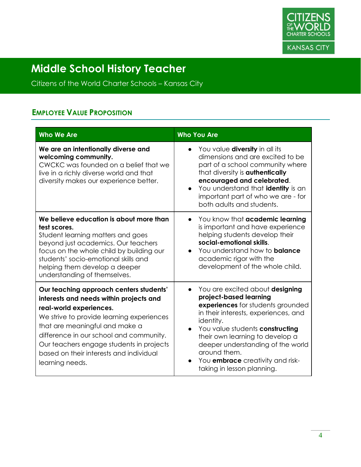

Citizens of the World Charter Schools – Kansas City

## **EMPLOYEE VALUE PROPOSITION**

| <b>Who We Are</b>                                                                                                                                                                                                                                                                                                                                 | <b>Who You Are</b>                                                                                                                                                                                                                                                                                                                                                                             |
|---------------------------------------------------------------------------------------------------------------------------------------------------------------------------------------------------------------------------------------------------------------------------------------------------------------------------------------------------|------------------------------------------------------------------------------------------------------------------------------------------------------------------------------------------------------------------------------------------------------------------------------------------------------------------------------------------------------------------------------------------------|
| We are an intentionally diverse and<br>welcoming community.<br>CWCKC was founded on a belief that we<br>live in a richly diverse world and that<br>diversity makes our experience better.                                                                                                                                                         | You value <b>diversity</b> in all its<br>$\bullet$<br>dimensions and are excited to be<br>part of a school community where<br>that diversity is authentically<br>encouraged and celebrated.<br>You understand that identity is an<br>$\bullet$<br>important part of who we are - for<br>both adults and students.                                                                              |
| We believe education is about more than<br>test scores.<br>Student learning matters and goes<br>beyond just academics. Our teachers<br>focus on the whole child by building our<br>students' socio-emotional skills and<br>helping them develop a deeper<br>understanding of themselves.                                                          | You know that academic learning<br>$\bullet$<br>is important and have experience<br>helping students develop their<br>social-emotional skills.<br>You understand how to <b>balance</b><br>$\bullet$<br>academic rigor with the<br>development of the whole child.                                                                                                                              |
| Our teaching approach centers students'<br>interests and needs within projects and<br>real-world experiences.<br>We strive to provide learning experiences<br>that are meaningful and make a<br>difference in our school and community.<br>Our teachers engage students in projects<br>based on their interests and individual<br>learning needs. | You are excited about designing<br>$\bullet$<br>project-based learning<br>experiences for students grounded<br>in their interests, experiences, and<br>identity.<br>You value students constructing<br>$\bullet$<br>their own learning to develop a<br>deeper understanding of the world<br>around them.<br>You <b>embrace</b> creativity and risk-<br>$\bullet$<br>taking in lesson planning. |